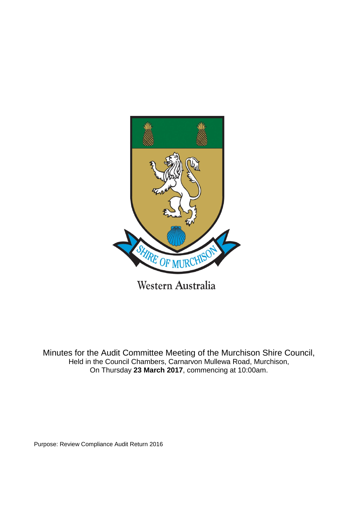

Minutes for the Audit Committee Meeting of the Murchison Shire Council, Held in the Council Chambers, Carnarvon Mullewa Road, Murchison, On Thursday **23 March 2017**, commencing at 10:00am.

Purpose: Review Compliance Audit Return 2016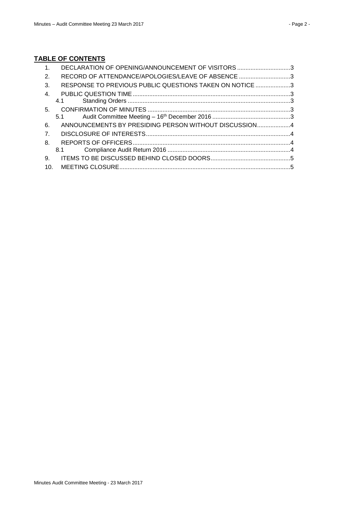# **TABLE OF CONTENTS**

| RECORD OF ATTENDANCE/APOLOGIES/LEAVE OF ABSENCE 3<br>RESPONSE TO PREVIOUS PUBLIC QUESTIONS TAKEN ON NOTICE 3 |
|--------------------------------------------------------------------------------------------------------------|
|                                                                                                              |
|                                                                                                              |
|                                                                                                              |
|                                                                                                              |
|                                                                                                              |
|                                                                                                              |
| ANNOUNCEMENTS BY PRESIDING PERSON WITHOUT DISCUSSION4                                                        |
|                                                                                                              |
|                                                                                                              |
|                                                                                                              |
|                                                                                                              |
|                                                                                                              |
|                                                                                                              |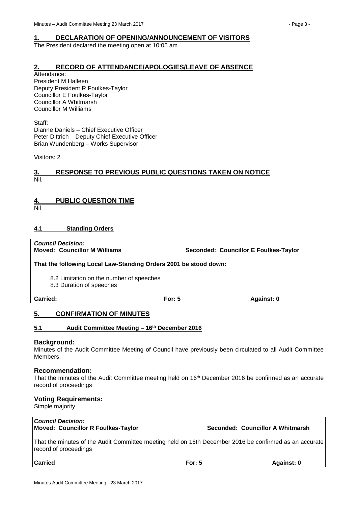### <span id="page-2-0"></span>**1. DECLARATION OF OPENING/ANNOUNCEMENT OF VISITORS**

The President declared the meeting open at 10:05 am

### <span id="page-2-1"></span>**2. RECORD OF ATTENDANCE/APOLOGIES/LEAVE OF ABSENCE**

Attendance: President M Halleen Deputy President R Foulkes-Taylor Councillor E Foulkes-Taylor Councillor A Whitmarsh Councillor M Williams

Staff: Dianne Daniels – Chief Executive Officer Peter Dittrich – Deputy Chief Executive Officer Brian Wundenberg – Works Supervisor

Visitors: 2

#### <span id="page-2-2"></span>**3. RESPONSE TO PREVIOUS PUBLIC QUESTIONS TAKEN ON NOTICE** Nil.

## <span id="page-2-3"></span>**4. PUBLIC QUESTION TIME**

Nil

### <span id="page-2-4"></span>**4.1 Standing Orders**

*Council Decision:* **Moved: Councillor M Williams Seconded: Councillor E Foulkes-Taylor**

**That the following Local Law-Standing Orders 2001 be stood down:**

8.2 Limitation on the number of speeches

8.3 Duration of speeches

#### **Carried: For: 5 Against: 0**

### <span id="page-2-5"></span>**5. CONFIRMATION OF MINUTES**

<span id="page-2-6"></span>

#### **Background:**

Minutes of the Audit Committee Meeting of Council have previously been circulated to all Audit Committee Members.

#### **Recommendation:**

That the minutes of the Audit Committee meeting held on 16<sup>th</sup> December 2016 be confirmed as an accurate record of proceedings

#### **Voting Requirements:**

Simple majority

#### *Council Decision:* **Moved: Councillor R Foulkes-Taylor Seconded: Councillor A Whitmarsh**

That the minutes of the Audit Committee meeting held on 16th December 2016 be confirmed as an accurate record of proceedings

**Carried For: 5 Against: 0**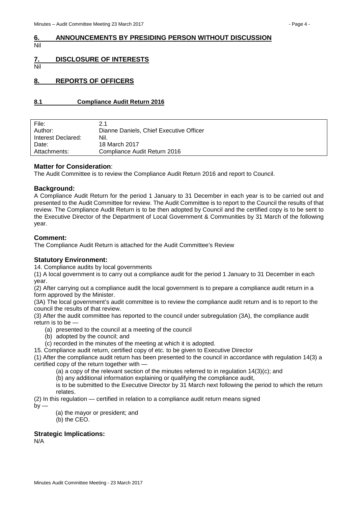#### <span id="page-3-0"></span>**6. ANNOUNCEMENTS BY PRESIDING PERSON WITHOUT DISCUSSION** Nil

<span id="page-3-1"></span>**7. DISCLOSURE OF INTERESTS**

Nil

### <span id="page-3-2"></span>**8. REPORTS OF OFFICERS**

#### <span id="page-3-3"></span>**8.1 Compliance Audit Return 2016**

| File:              | 2.1                                     |
|--------------------|-----------------------------------------|
| Author:            | Dianne Daniels, Chief Executive Officer |
| Interest Declared: | Nil.                                    |
| Date:              | 18 March 2017                           |
| Attachments:       | Compliance Audit Return 2016            |
|                    |                                         |

#### **Matter for Consideration**:

The Audit Committee is to review the Compliance Audit Return 2016 and report to Council.

#### **Background:**

A Compliance Audit Return for the period 1 January to 31 December in each year is to be carried out and presented to the Audit Committee for review. The Audit Committee is to report to the Council the results of that review. The Compliance Audit Return is to be then adopted by Council and the certified copy is to be sent to the Executive Director of the Department of Local Government & Communities by 31 March of the following year.

#### **Comment:**

The Compliance Audit Return is attached for the Audit Committee's Review

#### **Statutory Environment:**

14. Compliance audits by local governments

(1) A local government is to carry out a compliance audit for the period 1 January to 31 December in each year.

(2) After carrying out a compliance audit the local government is to prepare a compliance audit return in a form approved by the Minister.

(3A) The local government's audit committee is to review the compliance audit return and is to report to the council the results of that review.

(3) After the audit committee has reported to the council under subregulation (3A), the compliance audit return is to be —

- (a) presented to the council at a meeting of the council
- (b) adopted by the council; and

(c) recorded in the minutes of the meeting at which it is adopted.

15. Compliance audit return, certified copy of etc. to be given to Executive Director

(1) After the compliance audit return has been presented to the council in accordance with regulation 14(3) a certified copy of the return together with —

(a) a copy of the relevant section of the minutes referred to in regulation 14(3)(c); and

(b) any additional information explaining or qualifying the compliance audit,

is to be submitted to the Executive Director by 31 March next following the period to which the return relates.

(2) In this regulation — certified in relation to a compliance audit return means signed

 $bv -$ 

- (a) the mayor or president; and
- (b) the CEO.

#### **Strategic Implications:**

N/A